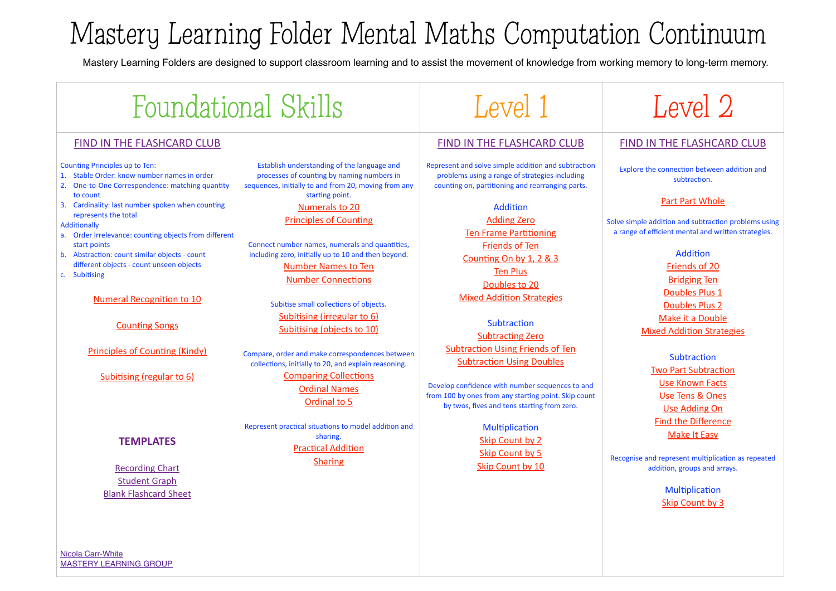# Mastery Learning Folder Mental Maths Computation Continuum

Mastery Learning Folders are designed to support classroom learning and to assist the movement of knowledge from working memory to long-term memory.

# Foundational Skills Foundational Skills Foundational Skills

### FIND IN THE FLASHCARD CLUB

#### Counting Principles up to Ten:

- 1. Stable Order: know number names in order
- 2. One-to-One Correspondence: matching quantity to count
- 3. Cardinality: last number spoken when counting represents the total

#### Additionally

- a. Order Irrelevance: counting objects from different start points
- b. Abstraction: count similar objects count different objects - count unseen objects
- c. Subitising

#### Numeral Recognition to 10

**Counting Songs** 

Principles of Counting (Kindy)

Subitising (regular to 6)

## **TEMPLATES**

**Recording Chart Student Graph** [Blank Flashcard Sheet](https://masterylearninggroup.com.au/wp-content/uploads/2014/06/Blank-Template.pdf)

[Nicola Carr-White](mailto:admin@masterylearninggroup.com.au?subject=) [MASTERY LEARNING GROUP](http://masterylearninggroup.com.au)

Establish understanding of the language and processes of counting by naming numbers in sequences, initially to and from 20, moving from any starting point. Numerals to 20

### Principles of Counting

Connect number names, numerals and quantities, including zero, initially up to 10 and then beyond. [Number Names to Ten](http://masterylearninggroup.com.au/wp-content/uploads/2015/10/Names-to-10-NSW-font.pdf) **Number Connections** 

> Subitise small collections of objects. Subitising (irregular to 6) Subitising (objects to 10)

Compare, order and make correspondences between collections, initially to 20, and explain reasoning. **Comparing Collections Ordinal Names** Ordinal to 5

Represent practical situations to model addition and sharing. **Practical Addition** [Sharing](http://masterylearninggroup.com.au/wp-content/uploads/2015/10/Sharing.pdf)

# FIND IN THE FLASHCARD CLUB

Represent and solve simple addition and subtraction problems using a range of strategies including counting on, partitioning and rearranging parts.

> Addition **Adding Zero Ten Frame Partitioning** [Friends of Ten](http://masterylearninggroup.com.au/wp-content/uploads/2014/02/Friends-of-10-v1.pdf) Counting On by 1, 2 & 3 **Ten Plus** Doubles to 20 **Mixed Addition Strategies**

Subtraction Subtracting Zero Subtraction Using Friends of Ten **Subtraction Using Doubles** 

Develop confidence with number sequences to and from 100 by ones from any starting point. Skip count by twos, fives and tens starting from zero.

> Multiplication Skip Count by 2 Skip Count by 5 Skip Count by 10



# **FIND IN THE FLASHCARD CLUB**

Explore the connection between addition and subtraction.

### Part Part Whole

Solve simple addition and subtraction problems using a range of efficient mental and written strategies.

> Addition [Friends of 20](http://masterylearninggroup.com.au/wp-content/uploads/2015/09/Friends-of-20-Yr-2.pdf) **Bridging Ten** Doubles Plus 1 Doubles Plus 2 Make it a Double **Mixed Addition Strategies**

Subtraction **Two Part Subtraction Use Known Facts** Use Tens & Ones Use Adding On Find the Difference **Make It Easy** 

Recognise and represent multiplication as repeated addition, groups and arrays.

> Multiplication Skip Count by 3